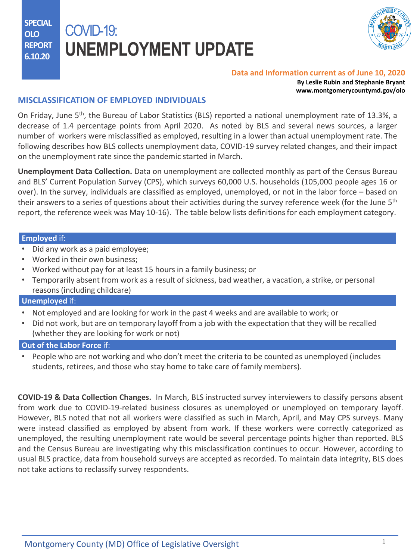**SPECIAL OLO REPORT 6.10.20**

# COVID-19: **UNEMPLOYMENT UPDATE**



#### **Data and Information current as of June 10, 2020**

**By Leslie Rubin and Stephanie Bryant www.montgomerycountymd.gov/olo**

## **MISCLASSIFICATION OF EMPLOYED INDIVIDUALS**

On Friday, June 5<sup>th</sup>, the Bureau of Labor Statistics (BLS) reported a national unemployment rate of 13.3%, a decrease of 1.4 percentage points from April 2020. As noted by BLS and several news sources, a larger number of workers were misclassified as employed, resulting in a lower than actual unemployment rate. The following describes how BLS collects unemployment data, COVID-19 survey related changes, and their impact on the unemployment rate since the pandemic started in March.

**Unemployment Data Collection.** Data on unemployment are collected monthly as part of the Census Bureau and BLS' Current Population Survey (CPS), which surveys 60,000 U.S. households (105,000 people ages 16 or over). In the survey, individuals are classified as employed, unemployed, or not in the labor force – based on their answers to a series of questions about their activities during the survey reference week (for the June 5<sup>th</sup> report, the reference week was May 10-16). The table below lists definitions for each employment category.

### **Employed** if:

- Did any work as a paid employee;
- Worked in their own business;
- Worked without pay for at least 15 hours in a family business; or
- Temporarily absent from work as a result of sickness, bad weather, a vacation, a strike, or personal reasons (including childcare)

### **Unemployed** if:

- Not employed and are looking for work in the past 4 weeks and are available to work; or
- Did not work, but are on temporary layoff from a job with the expectation that they will be recalled (whether they are looking for work or not)

## **Out of the Labor Force** if:

• People who are not working and who don't meet the criteria to be counted as unemployed (includes students, retirees, and those who stay home to take care of family members).

**COVID-19 & Data Collection Changes.** In March, BLS instructed survey interviewers to classify persons absent from work due to COVID-19-related business closures as unemployed or unemployed on temporary layoff. However, BLS noted that not all workers were classified as such in March, April, and May CPS surveys. Many were instead classified as employed by absent from work. If these workers were correctly categorized as unemployed, the resulting unemployment rate would be several percentage points higher than reported. BLS and the Census Bureau are investigating why this misclassification continues to occur. However, according to usual BLS practice, data from household surveys are accepted as recorded. To maintain data integrity, BLS does not take actions to reclassify survey respondents.